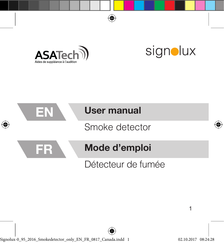



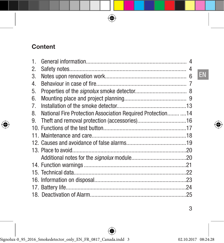# **Content**

| 1. |                                                              |  |
|----|--------------------------------------------------------------|--|
| 2. |                                                              |  |
| 3. |                                                              |  |
| 4. |                                                              |  |
| 5. |                                                              |  |
| 6. |                                                              |  |
| 7. |                                                              |  |
| 8. | National Fire Protection Association Required Protection  14 |  |
| 9. |                                                              |  |
|    |                                                              |  |
|    |                                                              |  |
|    |                                                              |  |
|    |                                                              |  |
|    |                                                              |  |
|    |                                                              |  |
|    |                                                              |  |
|    |                                                              |  |
|    |                                                              |  |
|    |                                                              |  |
|    |                                                              |  |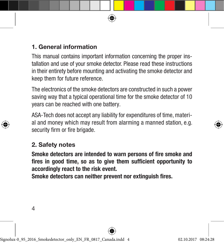# 1. General information

This manual contains important information concerning the proper installation and use of your smoke detector. Please read these instructions in their entirety before mounting and activating the smoke detector and keep them for future reference.

The electronics of the smoke detectors are constructed in such a power saving way that a typical operational time for the smoke detector of 10 years can be reached with one battery.

ASA-Tech does not accept any liability for expenditures of time, material and money which may result from alarming a manned station, e.g. security firm or fire brigade.

#### 2. Safety notes

Smoke detectors are intended to warn persons of fire smoke and fires in good time, so as to give them sufficient opportunity to accordingly react to the risk event.

Smoke detectors can neither prevent nor extinguish fires.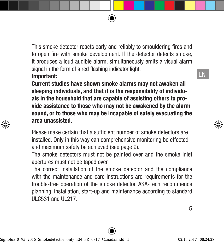This smoke detector reacts early and reliably to smouldering fires and to open fire with smoke development. If the detector detects smoke, it produces a loud audible alarm, simultaneously emits a visual alarm signal in the form of a red flashing indicator light.

#### Important:

Current studies have shown smoke alarms may not awaken all sleeping individuals, and that it is the responsibility of individuals in the household that are capable of assisting others to provide assistance to those who may not be awakened by the alarm sound, or to those who may be incapable of safely evacuating the area unassisted.

Please make certain that a sufficient number of smoke detectors are installed. Only in this way can comprehensive monitoring be effected and maximum safety be achieved (see page 9).

The smoke detectors must not be painted over and the smoke inlet apertures must not be taped over.

The correct installation of the smoke detector and the compliance with the maintenance and care instructions are requirements for the trouble-free operation of the smoke detector. ASA-Tech recommends planning, installation, start-up and maintenance according to standard  $ULC<sub>531</sub>$  and  $UL217$ .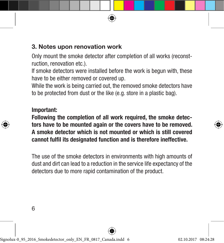# 3. Notes upon renovation work

Only mount the smoke detector after completion of all works (reconstruction, renovation etc.).

If smoke detectors were installed before the work is begun with, these have to be either removed or covered up.

While the work is being carried out, the removed smoke detectors have to be protected from dust or the like (e.g. store in a plastic bag).

#### Important:

Following the completion of all work required, the smoke detectors have to be mounted again or the covers have to be removed. A smoke detector which is not mounted or which is still covered cannot fulfil its designated function and is therefore ineffective.

The use of the smoke detectors in environments with high amounts of dust and dirt can lead to a reduction in the service life expectancy of the detectors due to more rapid contamination of the product.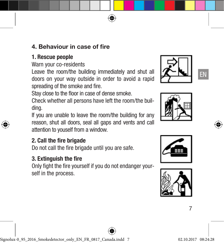## 4. Behaviour in case of fire

## 1. Rescue people

Warn your co-residents

Leave the room/the building immediately and shut all doors on your way outside in order to avoid a rapid spreading of the smoke and fire.







Stay close to the floor in case of dense smoke.

Check whether all persons have left the room/the building.

If you are unable to leave the room/the building for any reason, shut all doors, seal all gaps and vents and call attention to youself from a window.

# 2. Call the fire brigade

Do not call the fire brigade until you are safe.

# 3. Extinguish the fire

Only fight the fire yourself if you do not endanger yourself in the process.



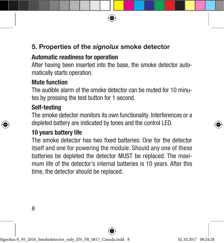# 5. Properties of the *signolux* smoke detector

# Automatic readiness for operation

After having been inserted into the base, the smoke detector automatically starts operation.

# Mute function

The audible alarm of the smoke detector can be muted for 10 minutes by pressing the test button for 1 second.

# Self-testing

The smoke detector monitors its own functionality. Interferences or a depleted battery are indicated by tones and the control LED.

# 10 years battery life

The smoke detector has two fixed batteries: One for the detector itself and one for powering the module. Should any one of these batteries be depleted the detector MUST be replaced. The maximum life of the detector's internal batteries is 10 years. After this time, the detector should be replaced.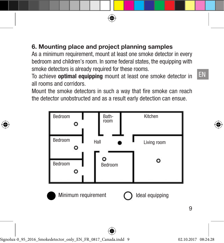# 6. Mounting place and project planning samples

As a minimum requirement, mount at least one smoke detector in every bedroom and children's room. In some federal states, the equipping with smoke detectors is already required for these rooms.

To achieve optimal equipping mount at least one smoke detector in all rooms and corridors.

Mount the smoke detectors in such a way that fire smoke can reach the detector unobstructed and as a result early detection can ensue.

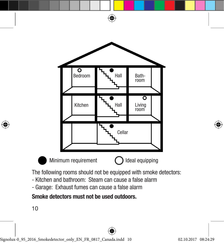

- Garage: Exhaust fumes can cause a false alarm

Smoke detectors must not be used outdoors.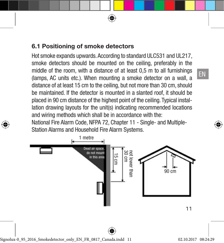# 6.1 Positioning of smoke detectors

Hot smoke expands upwards. According to standard ULC531 and UL217, smoke detectors should be mounted on the ceiling, preferably in the middle of the room, with a distance of at least 0,5 m to all furnishings (lamps, AC units etc.). When mounting a smoke detector on a wall, a distance of at least 15 cm to the ceiling, but not more than 30 cm, should be maintained. If the detector is mounted in a slanted roof, it should be placed in 90 cm distance of the highest point of the ceiling. Typical installation drawing layouts for the unit(s) indicating recommended locations and wiring methods which shall be in accordance with the: National Fire Alarm Code, NFPA 72, Chapter 11 - Single- and Multiple-

Station Alarms and Household Fire Alarm Systems.

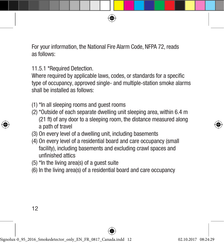For your information, the National Fire Alarm Code, NFPA 72, reads as follows:

11.5.1 \*Required Detection.

Where required by applicable laws, codes, or standards for a specific type of occupancy, approved single- and multiple-station smoke alarms shall be installed as follows:

- (1) \*In all sleeping rooms and guest rooms
- (2) \*Outside of each separate dwelling unit sleeping area, within 6.4 m (21 ft) of any door to a sleeping room, the distance measured along a path of travel
- (3) On every level of a dwelling unit, including basements
- (4) On every level of a residential board and care occupancy (small facility), including basements and excluding crawl spaces and unfinished attics
- (5) \*In the living area(s) of a guest suite
- (6) In the living area(s) of a residential board and care occupancy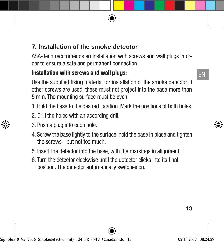# 7. Installation of the smoke detector

ASA-Tech recommends an installation with screws and wall plugs in order to ensure a safe and permanent connection.

# Installation with screws and wall plugs:

Use the supplied fixing material for installation of the smoke detector. If other screws are used, these must not project into the base more than 5 mm. The mounting surface must be even!

- 1. Hold the base to the desired location. Mark the positions of both holes.
- 2. Drill the holes with an according drill.
- 3. Push a plug into each hole.
- 4. Screw the base lightly to the surface, hold the base in place and tighten the screws - but not too much.
- 5. Insert the detector into the base, with the markings in alignment.
- 6. Turn the detector clockwise until the detector clicks into its final position. The detector automatically switches on.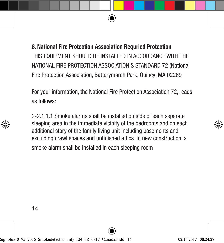8. National Fire Protection Association Requried Protection THIS FOUPMENT SHOULD BE INSTALLED IN ACCORDANCE WITH THE NATIONAL FIRE PROTECTION ASSOCIATION'S STANDARD 72 (National Fire Protection Association, Batterymarch Park, Quincy, MA 02269

For your information, the National Fire Protection Association 72, reads as follows:

2-2.1.1.1 Smoke alarms shall be installed outside of each separate sleeping area in the immediate vicinity of the bedrooms and on each additional story of the family living unit including basements and excluding crawl spaces and unfinished attics. In new construction, a smoke alarm shall be installed in each sleeping room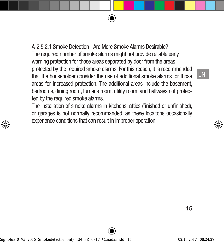A-2.5.2.1 Smoke Detection - Are More Smoke Alarms Desirable? The required number of smoke alarms might not provide reliable early warning protection for those areas separated by door from the areas protected by the required smoke alarms. For this reason, it is recommended that the householder consider the use of additional smoke alarms for those areas for increased protection. The additional areas include the basement, bedrooms, dining room, furnace room, utility room, and hallways not protected by the required smoke alarms.

The installation of smoke alarms in kitchens, attics (finished or unfinished), or garages is not normally recommanded, as these locaitons occasionally experience conditions that can result in improper operation.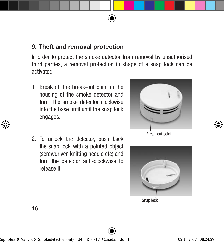## 9. Theft and removal protection

In order to protect the smoke detector from removal by unauthorised third parties, a removal protection in shape of a snap lock can be activated:

- 1. Break off the break-out point in the housing of the smoke detector and turn the smoke detector clockwise into the base until until the snap lock engages.
- 2. To unlock the detector, push back the snap lock with a pointed object (screwdriver, knitting needle etc) and turn the detector anti-clockwise to release it.



Break-out point



Snap lock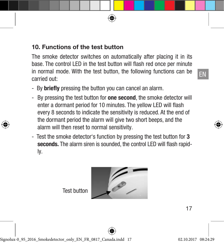#### 10. Functions of the test button

The smoke detector switches on automatically after placing it in its base. The control LED in the test button will flash red once per minute in normal mode. With the test button, the following functions can be carried out:

- By **briefly** pressing the button you can cancel an alarm.
- By pressing the test button for **one second**, the smoke detector will enter a dormant period for 10 minutes. The yellow LED will flash every 8 seconds to indicate the sensitivity is reduced. At the end of the dormant period the alarm will give two short beeps, and the alarm will then reset to normal sensitivity.
- Test the smoke detector's function by pressing the test button for 3 seconds. The alarm siren is sounded, the control LED will flash rapidly.

Test button

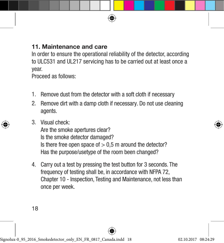## 11. Maintenance and care

In order to ensure the operational reliability of the detector, according to ULC531 and UL217 servicing has to be carried out at least once a year.

Proceed as follows:

- 1. Remove dust from the detector with a soft cloth if necessary
- 2. Remove dirt with a damp cloth if necessary. Do not use cleaning agents.
- 3. Visual check:

Are the smoke apertures clear? Is the smoke detector damaged? Is there free open space of  $> 0.5$  m around the detector? Has the purpose/usetype of the room been changed?

4. Carry out a test by pressing the test button for 3 seconds. The frequency of testing shall be, in accordance with NFPA 72, Chapter 10 - Inspection, Testing and Maintenance, not less than once per week.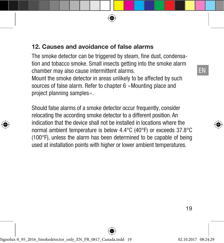## 12. Causes and avoidance of false alarms

The smoke detector can be triggered by steam, fine dust, condensation and tobacco smoke. Small insects getting into the smoke alarm chamber may also cause intermittent alarms.

Mount the smoke detector in areas unlikely to be affected by such sources of false alarm. Refer to chapter 6 »Mounting place and project planning samples«.

Should false alarms of a smoke detector occur frequently, consider relocating the according smoke detector to a different position. An indication that the device shall not be installed in locations where the normal ambient temperature is below 4.4°C (40°F) or exceeds 37.8°C (100°F), unless the alarm has been determined to be capable of being used at installation points with higher or lower ambient temperatures.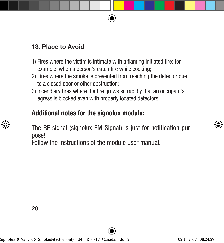## 13. Place to Avoid

- 1) Fires where the victim is intimate with a flaming initiated fire; for example, when a person's catch fire while cooking;
- 2) Fires where the smoke is prevented from reaching the detector due to a closed door or other obstruction;
- 3) Incendiary fires where the fire grows so rapidly that an occupant's egress is blocked even with properly located detectors

# Additional notes for the signolux module:

The RF signal (signolux FM-Signal) is just for notification purpose!

Follow the instructions of the module user manual.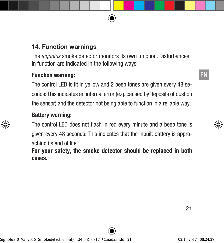## 14. Function warnings

The *signolux* smoke detector monitors its own function. Disturbances in function are indicated in the following ways:

#### Function warning:

The control LED is lit in yellow and 2 beep tones are given every 48 seconds: This indicates an internal error (e.g. caused by deposits of dust on the sensor) and the detector not being able to function in a reliable way.

#### Battery warning:

The control LED does not flash in red every minute and a beep tone is given every 48 seconds: This indicates that the inbuilt battery is approaching its end of life.

For your safety, the smoke detector should be replaced in both cases.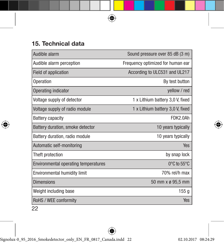# 15. Technical data

| Audible alarm                               | Sound pressure over 85 dB (3 m)   |
|---------------------------------------------|-----------------------------------|
| Audible alarm perception                    | Frequency optimized for human ear |
| Field of application                        | According to ULC531 and UL217     |
| Operation                                   | By test button                    |
| Operating indicator                         | yellow / red                      |
| Voltage supply of detector                  | 1 x Lithium battery 3,0 V, fixed  |
| Voltage supply of radio module              | 1 x Lithium battery 3,0 V, fixed  |
| <b>Battery capacity</b>                     | FDK2.0Ah                          |
| Battery duration, smoke detector            | 10 years typically                |
| Battery duration, radio module              | 10 years typically                |
| Automatic self-monitoring                   | <b>Yes</b>                        |
| Theft protection                            | by snap lock                      |
| <b>Environmental operating temperatures</b> | 0°C to 55°C                       |
| Environmental humidity limit                | 70% rel/h max                     |
| <b>Dimensions</b>                           | 50 mm x ø 95,5 mm                 |
| Weight including base                       | 155 <sub>g</sub>                  |
| RoHS / WEE conformity                       | <b>Yes</b>                        |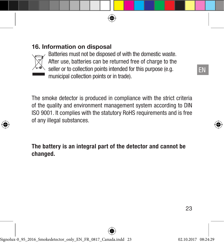#### 16. Information on disposal



Batteries must not be disposed of with the domestic waste. After use, batteries can be returned free of charge to the seller or to collection points intended for this purpose (e.g.

municipal collection points or in trade).

The smoke detector is produced in compliance with the strict criteria of the quality and environment management system according to DIN ISO 9001. It complies with the statutory RoHS requirements and is free of any illegal substances.

The battery is an integral part of the detector and cannot be changed.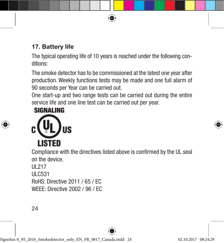# 17. Battery life

The typical operating life of 10 years is reached under the following conditions:

The smoke detector has to be commissioned at the latest one year after production. Weekly functions tests may be made and one full alarm of 90 seconds per Year can be carried out.

One start-up and two range tests can be carried out during the entire service life and one line test can be carried out per year.

# **SIGNALING**



Compliance with the directives listed above is confirmed by the UL seal on the device.

UL217

ULC531

RoHS: Directive 2011 / 65 / EC WEEE: Directive 2002 / 96 / EC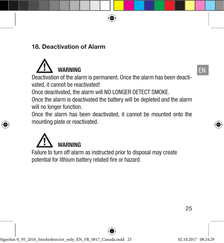## 18. Deactivation of Alarm



Deactivation of the alarm is permanent. Once the alarm has been deactivated, it cannot be reactivated!

Once deactivated, the alarm will NO LONGER DETECT SMOKE.

Once the alarm is deactivated the battery will be depleted and the alarm will no longer function.

Once the alarm has been deactivated, it cannot be mounted onto the mounting plate or reactivated.



Failure to turn off alarm as instructed prior to disposal may create potential for lithium battery related fire or hazard.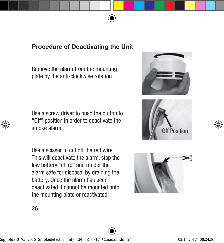## Procedure of Deactivating the Unit

Remove the alarm from the mounting plate by the anti-clockwise rotation.

Use a screw driver to push the button to "Off" position in order to deactivate the smoke alarm.

Use a scissor to cut off the red wire. This will deactivate the alarm, stop the low battery "chirp" and render the alarm safe for disposal by draining the battery. Once the alarm has been deactivated,it cannot be mounted onto the mounting plate or reactivated.





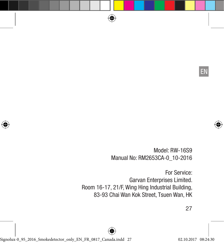EN

Model: RW-16S9 Manual No: RM2653CA-0\_10-2016

For Service: Garvan Enterprises Limited. Room 16-17, 21/F, Wing Hing Industrial Building, 83-93 Chai Wan Kok Street, Tsuen Wan, HK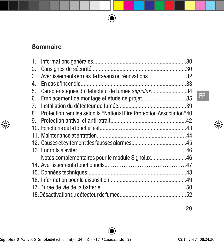# Sommaire

| 1. |                                                                      |  |
|----|----------------------------------------------------------------------|--|
| 2. |                                                                      |  |
| 3. | Avertissements en cas de travaux ou rénovations32                    |  |
| 4. |                                                                      |  |
| 5. | Caractéristiques du détecteur de fumée signolux34                    |  |
| 6. | Emplacement de montage et étude de projet35                          |  |
| 7. |                                                                      |  |
| 8. | Protection requise selon la "National Fire Protection Association"40 |  |
| 9. |                                                                      |  |
|    |                                                                      |  |
|    |                                                                      |  |
|    |                                                                      |  |
|    |                                                                      |  |
|    | Notes complémentaires pour le module Signolux46                      |  |
|    |                                                                      |  |
|    |                                                                      |  |
|    |                                                                      |  |
|    |                                                                      |  |
|    |                                                                      |  |
|    |                                                                      |  |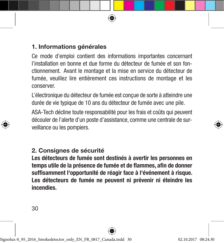# 1. Informations générales

Ce mode d'emploi contient des informations importantes concernant l'installation en bonne et due forme du détecteur de fumée et son fonctionnement. Avant le montage et la mise en service du détecteur de fumée, veuillez lire entièrement ces instructions de montage et les conserver.

L'électronique du détecteur de fumée est conçue de sorte à atteindre une durée de vie typique de 10 ans du détecteur de fumée avec une pile.

ASA-Tech décline toute responsabilité pour les frais et coûts qui peuvent découler de l'alerte d'un poste d'assistance, comme une centrale de surveillance ou les pompiers.

# 2. Consignes de sécurité

Les détecteurs de fumée sont destinés à avertir les personnes en temps utile de la présence de fumée et de flammes, afin de donner suffisamment l'opportunité de réagir face à l'événement à risque. Les détecteurs de fumée ne peuvent ni prévenir ni éteindre les incendies.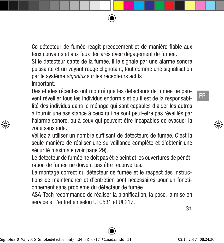Ce détecteur de fumée réagit précocement et de manière fiable aux feux couvants et aux feux déclarés avec dégagement de fumée.

Si le détecteur capte de la fumée, il le signale par une alarme sonore puissante et un voyant rouge clignotant, tout comme une signalisation par le système *signolux* sur les récepteurs actifs.

Important:

Des études récentes ont montré que les détecteurs de fumée ne peuvent réveiller tous les individus endormis et qu'il est de la responsabilité des individus dans le ménage qui sont capables d'aider les autres à fournir une assistance à ceux qui ne sont peut-être pas réveillés par l'alarme sonore, ou à ceux qui peuvent être incapables de évacuer la zone sans aide.

Veillez à utiliser un nombre suffisant de détecteurs de fumée. C'est la seule manière de réaliser une surveillance complète et d'obtenir une sécurité maximale (voir page 29).

Le détecteur de fumée ne doit pas être peint et les ouvertures de pénétration de fumée ne doivent pas être recouvertes.

Le montage correct du détecteur de fumée et le respect des instructions de maintenance et d'entretien sont nécessaires pour un fonctionnement sans problème du détecteur de fumée.

ASA-Tech recommande de réaliser la planification, la pose, la mise en service et l'entretien selon ULC531 et UL217.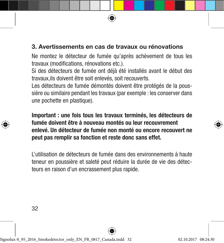# 3. Avertissements en cas de travaux ou rénovations

Ne montez le détecteur de fumée qu'après achèvement de tous les travaux (modifications, rénovations etc.).

Si des détecteurs de fumée ont déjà été installés avant le début des travaux,ils doivent être soit enlevés, soit recouverts.

Les détecteurs de fumée démontés doivent être protégés de la poussière ou similaire pendant les travaux (par exemple : les conserver dans une pochette en plastique).

Important : une fois tous les travaux terminés, les détecteurs de fumée doivent être à nouveau montés ou leur recouvrement enlevé. Un détecteur de fumée non monté ou encore recouvert ne peut pas remplir sa fonction et reste donc sans effet.

L'utilisation de détecteurs de fumée dans des environnements à haute teneur en poussière et saleté peut réduire la durée de vie des détecteurs en raison d'un encrassement plus rapide.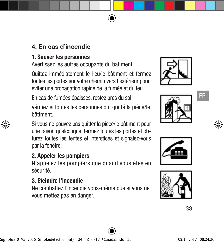# 4. En cas d'incendie

#### 1. Sauver les personnes

Avertissez les autres occupants du bâtiment.

Quittez immédiatement le lieu/le bâtiment et fermez toutes les portes sur votre chemin vers l'extérieur pour éviter une propagation rapide de la fumée et du feu.

En cas de fumées épaisses, restez près du sol.

Vérifiez si toutes les personnes ont quitté la pièce/le bâtiment.

Si vous ne pouvez pas quitter la pièce/le bâtiment pour une raison quelconque, fermez toutes les portes et obturez toutes les fentes et interstices et signalez-vous par la fenêtre.

# 2. Appeler les pompiers

N'appelez les pompiers que quand vous êtes en sécurité.

#### 3. Eteindre l'incendie

Ne combattez l'incendie vous-même que si vous ne vous mettez pas en danger.





FR



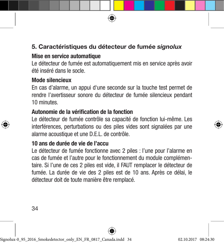# 5. Caractéristiques du détecteur de fumée *signolux*

## Mise en service automatique

Le détecteur de fumée est automatiquement mis en service après avoir été inséré dans le socle.

#### Mode silencieux

En cas d'alarme, un appui d'une seconde sur la touche test permet de rendre l'avertisseur sonore du détecteur de fumée silencieux pendant 10 minutes.

#### Autonomie de la vérification de la fonction

Le détecteur de fumée contrôle sa capacité de fonction lui-même. Les interférences, perturbations ou des piles vides sont signalées par une alarme acoustique et une D.E.L. de contrôle.

#### 10 ans de durée de vie de l'accu

Le détecteur de fumée fonctionne avec 2 piles : l'une pour l'alarme en cas de fumée et l'autre pour le fonctionnement du module complémentaire. Si l'une de ces 2 piles est vide, il FAUT remplacer le détecteur de fumée. La durée de vie des 2 piles est de 10 ans. Après ce délai, le détecteur doit de toute manière être remplacé.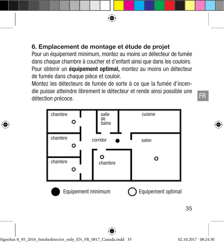# 6. Emplacement de montage et étude de projet

Pour un équipement minimum, montez au moins un détecteur de fumée dans chaque chambre à coucher et d'enfant ainsi que dans les couloirs. Pour obtenir un équipement optimal, montez au moins un détecteur de fumée dans chaque pièce et couloir.

Montez les détecteurs de fumée de sorte à ce que la fumée d'incendie puisse atteindre librement le détecteur et rende ainsi possible une détection précoce.

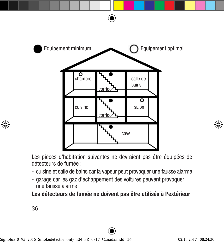

Les pièces d'habitation suivantes ne devraient pas être équipées de détecteurs de fumée :

- cuisine et salle de bains car la vapeur peut provoquer une fausse alarme
- garage car les gaz d'échappement des voitures peuvent provoquer une fausse alarme

Les détecteurs de fumée ne doivent pas être utilisés à l'extérieur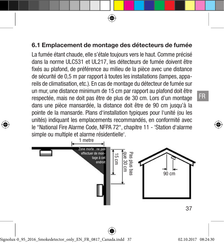#### 6.1 Emplacement de montage des détecteurs de fumée

La fumée étant chaude, elle s'étale toujours vers le haut. Comme précisé dans la norme ULC531 et UL217, les détecteurs de fumée doivent être fixés au plafond, de préférence au milieu de la pièce avec une distance de sécurité de 0,5 m par rapport à toutes les installations (lampes, appareils de climatisation, etc.). En cas de montage du détecteur de fumée sur un mur, une distance minimum de 15 cm par rapport au plafond doit être respectée, mais ne doit pas être de plus de 30 cm. Lors d'un montage dans une pièce mansardée, la distance doit être de 90 cm jusqu'à la pointe de la mansarde. Plans d'installation typiques pour l'unité (ou les unités) indiquant les emplacements recommandés, en conformité avec le "National Fire Alarme Code, NFPA 72", chapitre 11 - 'Station d'alarme simple ou multiple et alarme résidentielle'.

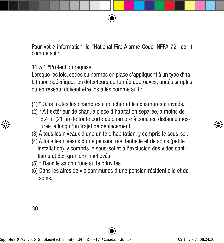Pour votre information, le "National Fire Alarme Code, NFPA 72" ce lit comme suit:

11.5.1 \*Protection requise

Lorsque les lois, codes ou normes en place s'appliquent à un type d'habitation spécifique, les détecteurs de fumée approuvés, unités simples ou en réseau, doivent être installés comme suit :

(1) \*Dans toutes les chambres à coucher et les chambres d'invités.

(2) \* À l'extérieur de chaque pièce d'habitation séparée, à moins de 6,4 m (21 pi) de toute porte de chambre à coucher, distance mes urée le long d'un trajet de déplacement.

(3) À tous les niveaux d'une unité d'habitation, y compris le sous-sol.

- (4) À tous les niveaux d'une pension résidentielle et de soins (petite installation), y compris le sous-sol et à l'exclusion des vides sani taires et des greniers inachevés.
- (5) \* Dans le salon d'une suite d'invités.
- (6) Dans les aires de vie communes d'une pension résidentielle et de soins.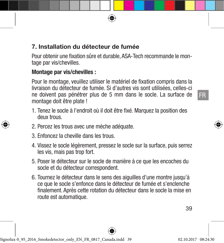## 7. Installation du détecteur de fumée

Pour obtenir une fixation sûre et durable, ASA-Tech recommande le montage par vis/chevilles.

#### Montage par vis/chevilles :

Pour le montage, veuillez utiliser le matériel de fixation compris dans la livraison du détecteur de fumée. Si d'autres vis sont utilisées, celles-ci ne doivent pas pénétrer plus de 5 mm dans le socle. La surface de montage doit être plate !

- 1. Tenez le socle à l'endroit où il doit être fixé. Marquez la position des deux trous.
- 2. Percez les trous avec une mèche adéquate.
- 3. Enfoncez la cheville dans les trous.
- 4. Vissez le socle légèrement, pressez le socle sur la surface, puis serrez les vis, mais pas trop fort.
- 5. Poser le détecteur sur le socle de manière à ce que les encoches du socle et du détecteur correspondent.
- 6. Tournez le détecteur dans le sens des aiguilles d'une montre jusqu'à ce que le socle s'enfonce dans le détecteur de fumée et s'enclenche finalement. Après cette rotation du détecteur dans le socle la mise en route est automatique.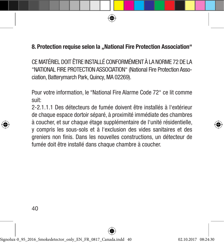## 8. Protection requise selon la ..National Fire Protection Association"

CE MATÉRIEL DOIT ÊTRE INSTALLÉ CONFORMÉMENT À LA NORME 72 DE LA "NATIONAL FIRE PROTECTION ASSOCIATION" (National Fire Protection Association, Batterymarch Park, Quincy, MA 02269).

Pour votre information, le "National Fire Alarme Code 72" ce lit comme suit:

2-2.1.1.1 Des détecteurs de fumée doivent être installés à l'extérieur de chaque espace dortoir séparé, à proximité immédiate des chambres à coucher, et sur chaque étage supplémentaire de l'unité résidentielle, y compris les sous-sols et à l'exclusion des vides sanitaires et des greniers non finis. Dans les nouvelles constructions, un détecteur de fumée doit être installé dans chaque chambre à coucher.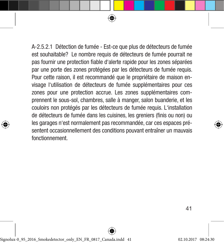A-2.5.2.1 Détection de fumée - Est-ce que plus de détecteurs de fumée est souhaitable? Le nombre requis de détecteurs de fumée pourrait ne pas fournir une protection fiable d'alerte rapide pour les zones séparées par une porte des zones protégées par les détecteurs de fumée requis. Pour cette raison, il est recommandé que le propriétaire de maison envisage l'utilisation de détecteurs de fumée supplémentaires pour ces zones pour une protection accrue. Les zones supplémentaires comprennent le sous-sol, chambres, salle à manger, salon buanderie, et les couloirs non protégés par les détecteurs de fumée requis. L'installation de détecteurs de fumée dans les cuisines, les greniers (finis ou non) ou les garages n'est normalement pas recommandée, car ces espaces présentent occasionnellement des conditions pouvant entraîner un mauvais fonctionnement.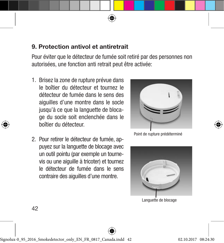#### 9. Protection antivol et antiretrait

Pour éviter que le détecteur de fumée soit retiré par des personnes non autorisées, une fonction anti retrait peut être activée:

- 1. Brisez la zone de rupture prévue dans le boîtier du détecteur et tournez le détecteur de fumée dans le sens des aiguilles d'une montre dans le socle jusqu'à ce que la languette de blocage du socle soit enclenchée dans le boîtier du détecteur.
- 2. Pour retirer le détecteur de fumée, appuyez sur la languette de blocage avec un outil pointu (par exemple un tournevis ou une aiguille à tricoter) et tournez le détecteur de fumée dans le sens contraire des aiguilles d'une montre.



Point de rupture prédéterminé



Languette de blocage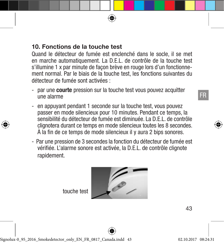Quand le détecteur de fumée est enclenché dans le socle, il se met en marche automatiquement. La D.E.L. de contrôle de la touche test s'illumine 1 x par minute de façon brève en rouge lors d'un fonctionnement normal. Par le biais de la touche test, les fonctions suivantes du détecteur de fumée sont activées :

- par une **courte** pression sur la touche test vous pouvez acquitter une alarme
- en appuyant pendant 1 seconde sur la touche test, vous pouvez passer en mode silencieux pour 10 minutes. Pendant ce temps, la sensibilité du détecteur de fumée est diminuée. La D.E.L. de contrôle clignotera durant ce temps en mode silencieux toutes les 8 secondes. À la fin de ce temps de mode silencieux il y aura 2 bips sonores.
- Par une pression de 3 secondes la fonction du détecteur de fumée est vérifiée. L'alarme sonore est activée, la D.E.L. de contrôle clignote rapidement.

touche test

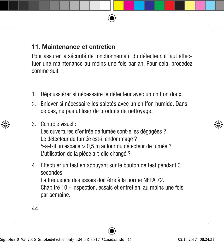# 11. Maintenance et entretien

Pour assurer la sécurité de fonctionnement du détecteur, il faut effectuer une maintenance au moins une fois par an. Pour cela, procédez comme suit :

- 1. Dépoussiérer si nécessaire le détecteur avec un chiffon doux.
- Enlever si nécessaire les saletés avec un chiffon humide. Dans 2. ce cas, ne pas utiliser de produits de nettoyage.
- Contrôle visuel : 3.

Les ouvertures d'entrée de fumée sont-elles dégagées ? Le détecteur de fumée est-il endommagé ? Y-a-t-il un espace > 0,5 m autour du détecteur de fumée ? L'utilisation de la pièce a-t-elle changé ?

4. Effectuer un test en appuyant sur le bouton de test pendant 3 secondes.

La fréquence des essais doit être à la norme NFPA 72. Chapitre 10 - Inspection, essais et entretien, au moins une fois par semaine.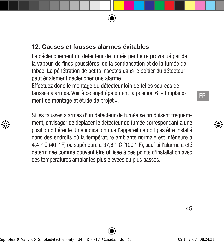# 12. Causes et fausses alarmes évitables

Le déclenchement du détecteur de fumée peut être provoqué par de la vapeur, de fines poussières, de la condensation et de la fumée de tabac. La pénétration de petits insectes dans le boîtier du détecteur peut également déclencher une alarme.

Effectuez donc le montage du détecteur loin de telles sources de fausses alarmes. Voir à ce sujet également la position 6. « Emplacement de montage et étude de projet ».

Si les fausses alarmes d'un détecteur de fumée se produisent fréquemment, envisager de déplacer le détecteur de fumée correspondant à une position différente. Une indication que l'appareil ne doit pas être installé dans des endroits où la température ambiante normale est inférieure à 4,4 ° C (40 ° F) ou supérieure à 37,8 ° C (100 ° F), sauf si l'alarme a été déterminée comme pouvant être utilisée à des points d'installation avec des températures ambiantes plus élevées ou plus basses.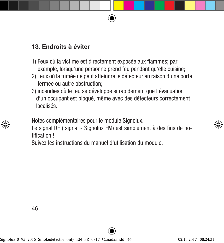# 13. Endroits à éviter

- 1) Feux où la victime est directement exposée aux flammes; par exemple, lorsqu'une personne prend feu pendant qu'elle cuisine;
- 2) Feux où la fumée ne peut atteindre le détecteur en raison d'une porte fermée ou autre obstruction;
- 3) incendies où le feu se développe si rapidement que l'évacuation d'un occupant est bloqué, même avec des détecteurs correctement localisés.

Notes complémentaires pour le module Signolux.

Le signal RF ( signal - Signolux FM) est simplement à des fins de notification !

Suivez les instructions du manuel d'utilisation du module.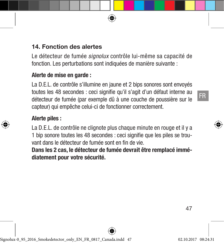Le détecteur de fumée *signolux* contrôle lui-même sa capacité de fonction. Les perturbations sont indiquées de manière suivante :

## Alerte de mise en garde :

La D.E.L. de contrôle s'illumine en jaune et 2 bips sonores sont envoyés toutes les 48 secondes : ceci signifie qu'il s'agit d'un défaut interne au détecteur de fumée (par exemple dû à une couche de poussière sur le capteur) qui empêche celui-ci de fonctionner correctement.

#### Alerte piles :

La D.E.L. de contrôle ne clignote plus chaque minute en rouge et il y a 1 bip sonore toutes les 48 secondes : ceci signifie que les piles se trouvant dans le détecteur de fumée sont en fin de vie.

Dans les 2 cas, le détecteur de fumée devrait être remplacé immédiatement pour votre sécurité.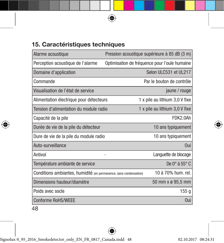# 15. Caractéristiques techniques

| Alarme acoustique                                                 | Pression acoustique supérieure à 85 dB (3 m)  |
|-------------------------------------------------------------------|-----------------------------------------------|
| Perception acoustique de l'alarme                                 | Optimisation de fréquence pour l'ouïe humaine |
| Domaine d'application                                             | Selon ULC531 et UL217                         |
| Commande                                                          | Par le bouton de contrôle                     |
| Visualisation de l'état de service                                | jaune / rouge                                 |
| Alimentation électrique pour détecteurs                           | 1 x pile au lithium 3,0 V fixe                |
| Tension d'alimentation du module radio                            | 1 x pile au lithium 3,0 V fixe                |
| Capacité de la pile                                               | FDK2.0Ah                                      |
| Durée de vie de la pile du détecteur                              | 10 ans typiquement                            |
| Dure de vie de la pile du module radio                            | 10 ans typiquement                            |
| Auto-surveillance                                                 | Oui                                           |
| Antivol                                                           | Languette de blocage                          |
| Température ambiante de service                                   | De $0^\circ$ à $55^\circ$ C                   |
| Conditions ambiantes, humidité (en permanence, sans condensation) | 10 à 70% hum. rel.                            |
| Dimensions hauteur/diamètre                                       | 50 mm x ø 95,5 mm                             |
| Poids avec socle                                                  | 155 <sub>g</sub>                              |
| <b>Conforme RoHS/WEEE</b>                                         | Oui                                           |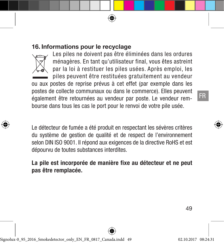#### 16. Informations pour le recyclage



Les piles ne doivent pas être éliminées dans les ordures ménagères. En tant qu'utilisateur final, vous êtes astreint par la loi à restituer les piles usées. Après emploi, les piles peuvent être restituées gratuitement au vendeur

ou aux postes de reprise prévus à cet effet (par exemple dans les postes de collecte communaux ou dans le commerce). Elles peuvent également être retournées au vendeur par poste. Le vendeur rembourse dans tous les cas le port pour le renvoi de votre pile usée.

Le détecteur de fumée a été produit en respectant les sévères critères du système de gestion de qualité et de respect de l'environnement selon DIN ISO 9001. Il répond aux exigences de la directive RoHS et est dépourvu de toutes substances interdites.

La pile est incorporée de manière fixe au détecteur et ne peut pas être remplacée.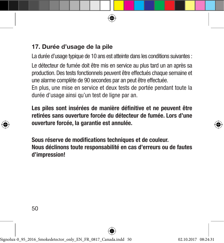# 17. Durée d'usage de la pile

La durée d'usage typique de 10 ans est atteinte dans les conditions suivantes :

Le détecteur de fumée doit être mis en service au plus tard un an après sa production. Des tests fonctionnels peuvent être effectués chaque semaine et une alarme complète de 90 secondes par an peut être effectuée.

En plus, une mise en service et deux tests de portée pendant toute la durée d'usage ainsi qu'un test de ligne par an.

Les piles sont insérées de manière définitive et ne peuvent être retirées sans ouverture forcée du détecteur de fumée. Lors d'une ouverture forcée, la garantie est annulée.

Sous réserve de modifications techniques et de couleur. Nous déclinons toute responsabilité en cas d'erreurs ou de fautes d'impression!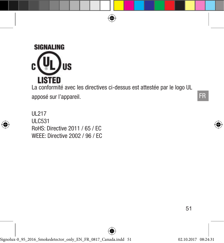

La conformité avec les directives ci-dessus est attestée par le logo UL apposé sur l'appareil.

UL217 ULC531 RoHS: Directive 2011 / 65 / EC WEEE: Directive 2002 / 96 / EC FR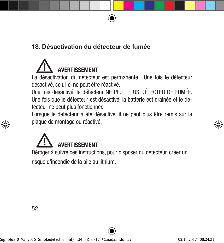# 18. Désactivation du détecteur de fumée



La désactivation du détecteur est permanente. Une fois le détecteur désactivé, celui-ci ne peut être réactivé.

Une fois désactivé, le détecteur NE PEUT PLUS DÉTECTER DE FUMÉE. Une fois que le détecteur est désactivé, la batterie est drainée et le détecteur ne peut plus fonctionner.

Lorsque le détecteur a été désactivé, il ne peut plus être remis sur la plaque de montage ou réactivé.

# **AVERTISSEMFNT**

Déroger à suivre ces instructions, pour disposer du détecteur, créer un

risque d'incendie de la pile au lithium.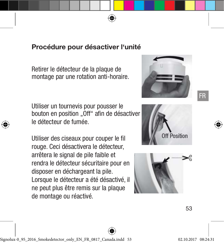# Procédure pour désactiver l'unité

Retirer le détecteur de la plaque de montage par une rotation anti-horaire.

Utiliser un tournevis pour pousser le bouton en position "Off" afin de désactiver le détecteur de fumée.

Utiliser des ciseaux pour couper le fil rouge. Ceci désactivera le détecteur, arrêtera le signal de pile faible et rendra le détecteur sécuritaire pour en disposer en déchargeant la pile. Lorsque le détecteur a été désactivé, il ne peut plus être remis sur la plaque de montage ou réactivé.







FR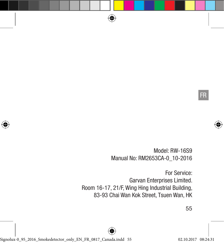FR

Model: RW-16S9 Manual No: RM2653CA-0\_10-2016

For Service: Garvan Enterprises Limited. Room 16-17, 21/F, Wing Hing Industrial Building, 83-93 Chai Wan Kok Street, Tsuen Wan, HK